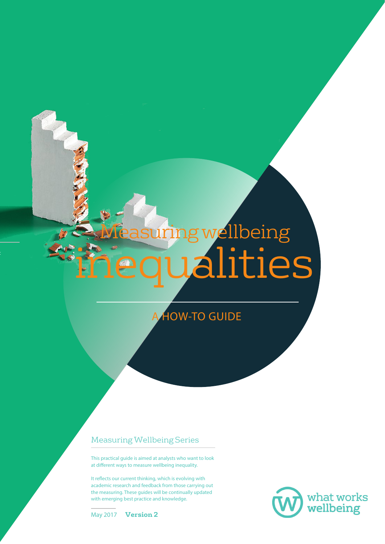# inequalities Measuring wellbeing

**HOW-TO GUIDE** 

#### Measuring Wellbeing Series

This practical guide is aimed at analysts who want to look at different ways to measure wellbeing inequality.

It reflects our current thinking, which is evolving with academic research and feedback from those carrying out the measuring. These guides will be continually updated with emerging best practice and knowledge.



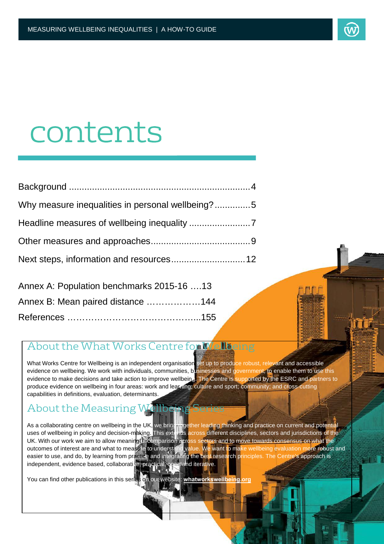

## contents

| Why measure inequalities in personal wellbeing?5 |  |
|--------------------------------------------------|--|
|                                                  |  |
|                                                  |  |
|                                                  |  |

| Annex A: Population benchmarks 2015-16 13 |  |
|-------------------------------------------|--|
| Annex B: Mean paired distance 144         |  |
|                                           |  |

#### About the What Works Centre for Wellbeing

What Works Centre for Wellbeing is an independent organisation set up to produce robust, relevant and accessible evidence on wellbeing. We work with individuals, communities, businesses and government, to enable them to use this evidence to make decisions and take action to improve wellbeing. The Centre is supported by the ESRC and partners to produce evidence on wellbeing in four areas: work and learning; culture and sport; community; and cross-cutting capabilities in definitions, evaluation, determinants.

### About the Measuring Wellbeing Series

As a collaborating centre on wellbeing in the UK, we bring together leading thinking and practice on current and potential uses of wellbeing in policy and decision-making. This exterios across different disciplines, sectors and jurisdictions of the UK. With our work we aim to allow meaningful comparison across sectors and to move towards consensus on what the outcomes of interest are and what to measate to understand value. We want to make wellbeing evaluation more robust and easier to use, and do, by learning from prectice and integrating the best research principles. The Centre's approach is independent, evidence based, collaborative, practical, operpand iterative.

You can find other publications in this series on our website: **[whatworkswellbeing.org](https://whatworkswellbeing.org)**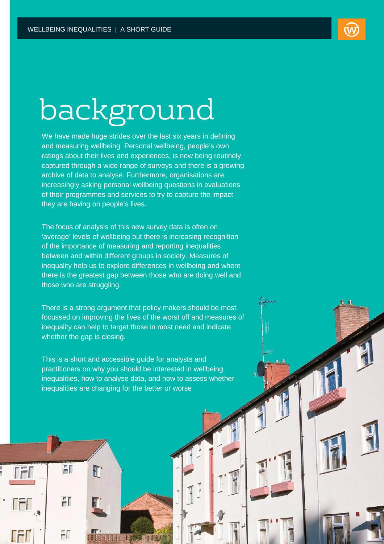## background

We have made huge strides over the last six years in defining and measuring wellbeing. Personal wellbeing, people's own ratings about their lives and experiences, is now being routinely captured through a wide range of surveys and there is a growing archive of data to analyse. Furthermore, organisations are increasingly asking personal wellbeing questions in evaluations of their programmes and services to try to capture the impact they are having on people's lives.

The focus of analysis of this new survey data is often on 'average' levels of wellbeing but there is increasing recognition of the importance of measuring and reporting inequalities between and within different groups in society. Measures of inequality help us to explore differences in wellbeing and where there is the greatest gap between those who are doing well and those who are struggling.

There is a strong argument that policy makers should be most focussed on improving the lives of the worst off and measures of inequality can help to target those in most need and indicate whether the gap is closing.

This is a short and accessible guide for analysts and practitioners on why you should be interested in wellbeing inequalities, how to analyse data, and how to assess whether inequalities are changing for the better or worse

H

 $F$ 

 $FT$ 

H

F.

4148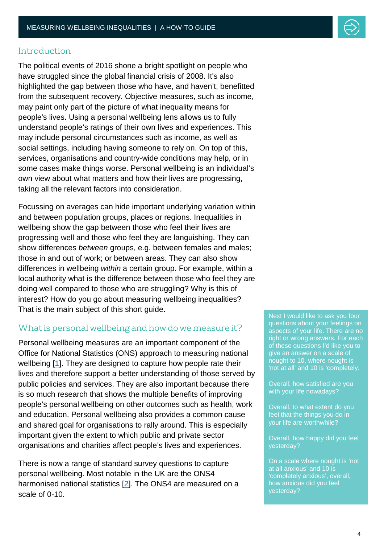#### Introduction

The political events of 2016 shone a bright spotlight on people who have struggled since the global financial crisis of 2008. It's also highlighted the gap between those who have, and haven't, benefitted from the subsequent recovery. Objective measures, such as income, may paint only part of the picture of what inequality means for people's lives. Using a personal wellbeing lens allows us to fully understand people's ratings of their own lives and experiences. This may include personal circumstances such as income, as well as social settings, including having someone to rely on. On top of this, services, organisations and country-wide conditions may help, or in some cases make things worse. Personal wellbeing is an individual's own view about what matters and how their lives are progressing, taking all the relevant factors into consideration.

Focussing on averages can hide important underlying variation within and between population groups, places or regions. Inequalities in wellbeing show the gap between those who feel their lives are progressing well and those who feel they are languishing. They can show differences *between* groups, e.g. between females and males; those in and out of work; or between areas. They can also show differences in wellbeing *within* a certain group. For example, within a local authority what is the difference between those who feel they are doing well compared to those who are struggling? Why is this of interest? How do you go about measuring wellbeing inequalities? That is the main subject of this short guide.

#### What is personal wellbeing and how do we measure it?

Personal wellbeing measures are an important component of the Office for National Statistics (ONS) approach to measuring national wellbeing [\[1\]](#page-14-0). They are designed to capture how people rate their lives and therefore support a better understanding of those served by public policies and services. They are also important because there is so much research that shows the multiple benefits of improving people's personal wellbeing on other outcomes such as health, work and education. Personal wellbeing also provides a common cause and shared goal for organisations to rally around. This is especially important given the extent to which public and private sector organisations and charities affect people's lives and experiences.

There is now a range of standard survey questions to capture personal wellbeing. Most notable in the UK are the ONS4 harmonised national statistics [\[2\]](#page-14-1). The ONS4 are measured on a scale of 0-10.

Next I would like to ask you four questions about your feelings on aspects of your life. There are no right or wrong answers. For each of these questions I'd like you to give an answer on a scale of nought to 10, where nought is 'not at all' and 10 is 'completely.

Overall, how satisfied are you with your life nowadays?

Overall, to what extent do you feel that the things you do in your life are worthwhile?

Overall, how happy did you feel yesterday?

On a scale where nought is 'not at all anxious' and 10 is 'completely anxious', overall, how anxious did you feel yesterday?

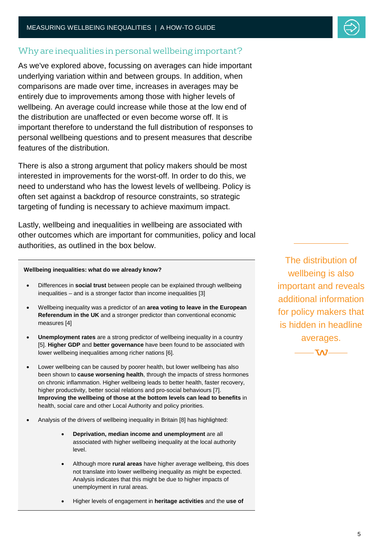#### Why are inequalities in personal wellbeing important?

As we've explored above, focussing on averages can hide important underlying variation within and between groups. In addition, when comparisons are made over time, increases in averages may be entirely due to improvements among those with higher levels of wellbeing. An average could increase while those at the low end of the distribution are unaffected or even become worse off. It is important therefore to understand the full distribution of responses to personal wellbeing questions and to present measures that describe features of the distribution.

There is also a strong argument that policy makers should be most interested in improvements for the worst-off. In order to do this, we need to understand who has the lowest levels of wellbeing. Policy is often set against a backdrop of resource constraints, so strategic targeting of funding is necessary to achieve maximum impact.

Lastly, wellbeing and inequalities in wellbeing are associated with other outcomes which are important for communities, policy and local authorities, as outlined in the box below.

#### **Wellbeing inequalities: what do we already know?**

- Differences in **social trust** between people can be explained through wellbeing inequalities – and is a stronger factor than income inequalities [3]
- Wellbeing inequality was a predictor of an **area voting to leave in the European Referendum in the UK** and a stronger predictor than conventional economic measures [4]
- **Unemployment rates** are a strong predictor of wellbeing inequality in a country [5]. **Higher GDP** and **better governance** have been found to be associated with lower wellbeing inequalities among richer nations [6].
- Lower wellbeing can be caused by poorer health, but lower wellbeing has also been shown to **cause worsening health**, through the impacts of stress hormones on chronic inflammation. Higher wellbeing leads to better health, faster recovery, higher productivity, better social relations and pro-social behaviours [7]. **Improving the wellbeing of those at the bottom levels can lead to benefits** in health, social care and other Local Authority and policy priorities.
- Analysis of the drivers of wellbeing inequality in Britain [8] has highlighted:
	- **Deprivation, median income and unemployment** are all associated with higher wellbeing inequality at the local authority level.
	- Although more **rural areas** have higher average wellbeing, this does not translate into lower wellbeing inequality as might be expected. Analysis indicates that this might be due to higher impacts of unemployment in rural areas.
	- Higher levels of engagement in **heritage activities** and the **use of**

The distribution of wellbeing is also important and reveals additional information for policy makers that is hidden in headline averages.

 $TAZ -$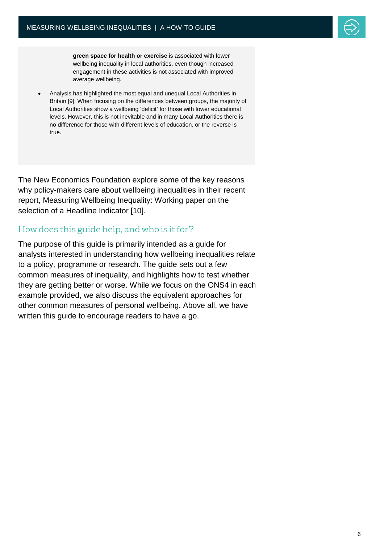

**green space for health or exercise** is associated with lower wellbeing inequality in local authorities, even though increased engagement in these activities is not associated with improved average wellbeing.

• Analysis has highlighted the most equal and unequal Local Authorities in Britain [9]. When focusing on the differences between groups, the majority of Local Authorities show a wellbeing 'deficit' for those with lower educational levels. However, this is not inevitable and in many Local Authorities there is no difference for those with different levels of education, or the reverse is true.

The New Economics Foundation explore some of the key reasons why policy-makers care about wellbeing inequalities in their recent report, Measuring Wellbeing Inequality: Working paper on the selection of a Headline Indicator [10].

#### How does this guide help, and who is it for?

The purpose of this guide is primarily intended as a guide for analysts interested in understanding how wellbeing inequalities relate to a policy, programme or research. The guide sets out a few common measures of inequality, and highlights how to test whether they are getting better or worse. While we focus on the ONS4 in each example provided, we also discuss the equivalent approaches for other common measures of personal wellbeing. Above all, we have written this guide to encourage readers to have a go.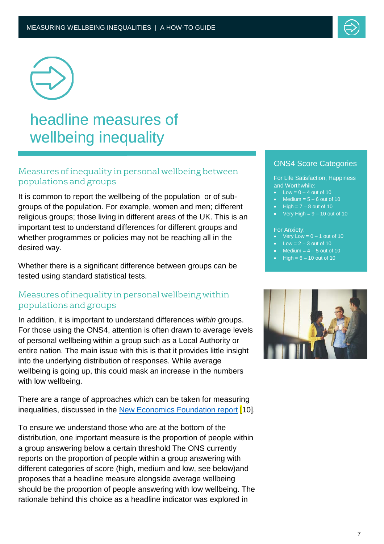



## headline measures of wellbeing inequality

#### Measures of inequality in personal wellbeing between populations and groups

It is common to report the wellbeing of the population or of subgroups of the population. For example, women and men; different religious groups; those living in different areas of the UK. This is an important test to understand differences for different groups and<br>whether programmes or policies may not be reaching all in the whether programmes or policies may not be reaching all in the desired way.

Whether there is a significant difference between groups can be tested using standard statistical tests.

#### Measures of inequality in personal wellbeing within populations and groups

In addition, it is important to understand differences *within* groups. For those using the ONS4, attention is often drawn to average levels of personal wellbeing within a group such as a Local Authority or entire nation. The main issue with this is that it provides little insight into the underlying distribution of responses. While average wellbeing is going up, this could mask an increase in the numbers with low wellbeing.

There are a range of approaches which can be taken for measuring inequalities, discussed in the [New Economics Foundation report](http://neweconomics.org/wp-content/uploads/2018/05/Measuring-Inequalities-in-Wellbeing-17072018_.pdf) <sup>[10]</sup>.

To ensure we understand those who are at the bottom of the To ensure we understand those who are at the bottom or the<br>distribution, one important measure is the proportion of people within a group answering below a certain threshold The ONS currently reports on the proportion of people within a group answering with different categories of score (high, medium and low, see below)and proposes that a headline measure alongside average wellbeing should be the proportion of people answering with low wellbeing. The rationale behind this choice as a headline indicator was explored in

#### ONS4 Score Categories

For Life Satisfaction, Happiness and Worthwhile:

- $Low = 0 4$  out of 10
- $Median = 5 6$  out of 10
- $High = 7 8$  out of 10
- Very High  $= 9 10$  out of 10

For Anxiety:

- Very Low =  $0 1$  out of 10
- Low  $= 2 3$  out of 10
- $Median = 4 5$  out of 10
- $High = 6 10$  out of 10

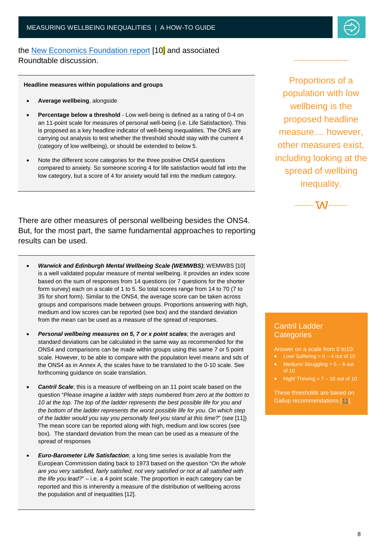

#### the [New Economics Foundation report](http://neweconomics.org/wp-content/uploads/2018/05/Measuring-Inequalities-in-Wellbeing-17072018_.pdf) [10] and associated Roundtable discussion.

**Headline measures within populations and groups**

- **Average wellbeing**, alongside
- **Percentage below a threshold** Low well-being is defined as a rating of 0-4 on an 11-point scale for measures of personal well-being (i.e. Life Satisfaction). This is proposed as a key headline indicator of well-being inequalities. The ONS are carrying out analysis to test whether the threshold should stay with the current 4 (category of low wellbeing), or should be extended to below 5.
- Note the different score categories for the three positive ONS4 questions compared to anxiety. So someone scoring 4 for life satisfaction would fall into the low category, but a score of 4 for anxiety would fall into the medium category.

There are other measures of personal wellbeing besides the ONS4. But, for the most part, the same fundamental approaches to reporting results can be used.

- *Warwick and Edinburgh Mental Wellbeing Scale (WEMWBS)*; WEMWBS [10] is a well validated popular measure of mental wellbeing. It provides an index score based on the sum of responses from 14 questions (or 7 questions for the shorter form survey) each on a scale of 1 to 5. So total scores range from 14 to 70 (7 to 35 for short form). Similar to the ONS4, the average score can be taken across groups and comparisons made between groups. Proportions answering with high, medium and low scores can be reported (see box) and the standard deviation from the mean can be used as a measure of the spread of responses.
- *Personal wellbeing measures on 5, 7 or x point scales*; the averages and standard deviations can be calculated in the same way as recommended for the ONS4 and comparisons can be made within groups using this same 7 or 5 point scale. However, to be able to compare with the population level means and sds of the ONS4 as in Annex A, the scales have to be translated to the 0-10 scale. See forthcoming guidance on scale translation.
- *Cantril Scale*; this is a measure of wellbeing on an 11 point scale based on the question "*Please imagine a ladder with steps numbered from zero at the bottom to 10 at the top. The top of the ladder represents the best possible life for you and the bottom of the ladder represents the worst possible life for you. On which step of the ladder would you say you personally feel you stand at this time?*" (see [11]) The mean score can be reported along with high, medium and low scores (see box). The standard deviation from the mean can be used as a measure of the spread of responses
- *Euro-Barometer Life Satisfaction*; a long time series is available from the European Commission dating back to 1973 based on the question "*On the whole are you very satisfied, fairly satisfied, not very satisfied or not at all satisfied with the life you lead?*" – i.e. a 4 point scale. The proportion in each category can be reported and this is inherently a measure of the distribution of wellbeing across the population and of inequalities [12].

Proportions of a population with low wellbeing is the proposed headline measure.... however, other measures exist, including looking at the spread of wellbing inequality.



#### Cantril Ladder **Categories**

Ξ

Answer on a scale from 0 to10:

- Low/ Suffering  $= 0 4$  out of 10
- Medium/ Struggling  $= 5 6$  out
- High/ Thriving  $= 7 10$  out of 10

These thresholds are based on Gallup recommendations [\[11](#page-14-2)].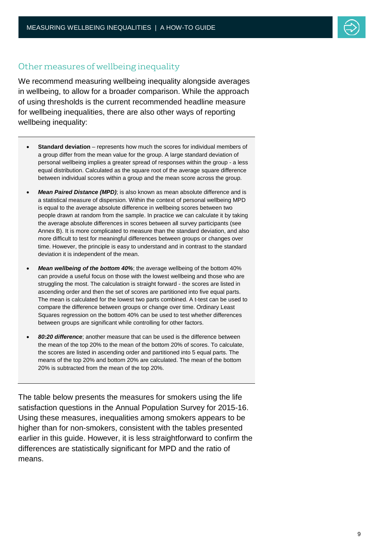#### Other measures of wellbeing inequality

We recommend measuring wellbeing inequality alongside averages in wellbeing, to allow for a broader comparison. While the approach of using thresholds is the current recommended headline measure for wellbeing inequalities, there are also other ways of reporting wellbeing inequality:

- **Standard deviation** represents how much the scores for individual members of a group differ from the mean value for the group. A large standard deviation of personal wellbeing implies a greater spread of responses within the group - a less equal distribution. Calculated as the square root of the average square difference between individual scores within a group and the mean score across the group.
- *Mean Paired Distance (MPD)*; is also known as mean absolute difference and is a statistical measure of dispersion. Within the context of personal wellbeing MPD is equal to the average absolute difference in wellbeing scores between two people drawn at random from the sample. In practice we can calculate it by taking the average absolute differences in scores between all survey participants (see Annex B). It is more complicated to measure than the standard deviation, and also more difficult to test for meaningful differences between groups or changes over time. However, the principle is easy to understand and in contrast to the standard deviation it is independent of the mean.
- *Mean wellbeing of the bottom 40%*; the average wellbeing of the bottom 40% can provide a useful focus on those with the lowest wellbeing and those who are struggling the most. The calculation is straight forward - the scores are listed in ascending order and then the set of scores are partitioned into five equal parts. The mean is calculated for the lowest two parts combined. A t-test can be used to compare the difference between groups or change over time. Ordinary Least Squares regression on the bottom 40% can be used to test whether differences between groups are significant while controlling for other factors.
- *80:20 difference*; another measure that can be used is the difference between the mean of the top 20% to the mean of the bottom 20% of scores. To calculate, the scores are listed in ascending order and partitioned into 5 equal parts. The means of the top 20% and bottom 20% are calculated. The mean of the bottom 20% is subtracted from the mean of the top 20%.

The table below presents the measures for smokers using the life satisfaction questions in the Annual Population Survey for 2015-16. Using these measures, inequalities among smokers appears to be higher than for non-smokers, consistent with the tables presented earlier in this guide. However, it is less straightforward to confirm the differences are statistically significant for MPD and the ratio of means.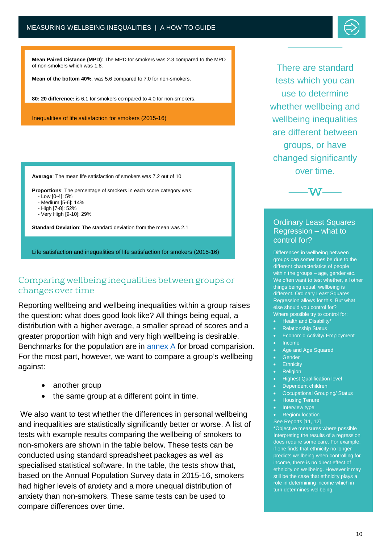

**Mean Paired Distance (MPD)**: The MPD for smokers was 2.3 compared to the MPD of non-smokers which was 1.8.

**Mean of the bottom 40%**: was 5.6 compared to 7.0 for non-smokers.

**80: 20 difference:** is 6.1 for smokers compared to 4.0 for non-smokers.

Inequalities of life satisfaction for smokers (2015-16)

**Average**: The mean life satisfaction of smokers was 7.2 out of 10

**Proportions**: The percentage of smokers in each score category was:

- Low [0-4]: 5%
- Medium [5-6]: 14%
- High [7-8]: 52%
- Very High [9-10]: 29%

**Standard Deviation**: The standard deviation from the mean was 2.1

Life satisfaction and inequalities of life satisfaction for smokers (2015-16)

#### Comparing wellbeing inequalities between groups or changes over time

Reporting wellbeing and wellbeing inequalities within a group raises the question: what does good look like? All things being equal, a distribution with a higher average, a smaller spread of scores and a greater proportion with high and very high wellbeing is desirable. Benchmarks for the population are in [annex A](#page-12-0) for broad comparision. For the most part, however, we want to compare a group's wellbeing against:

- another group
- the same group at a different point in time.

We also want to test whether the differences in personal wellbeing and inequalities are statistically significantly better or worse. A list of tests with example results comparing the wellbeing of smokers to non-smokers are shown in the table below. These tests can be conducted using standard spreadsheet packages as well as specialised statistical software. In the table, the tests show that, based on the Annual Population Survey data in 2015-16, smokers had higher levels of anxiety and a more unequal distribution of anxiety than non-smokers. These same tests can be used to compare differences over time.

There are standard tests which you can use to determine whether wellbeing and wellbeing inequalities are different between groups, or have changed significantly over time.



#### Ordinary Least Squares Regression – what to control for?

j

 Differences in wellbeing between groups can sometimes be due to the within the groups – age, gender etc. things being equal, wellbeing is different. Ordinary Least Squares<br>Regression allows for this. But what different characteristics of people We often want to test whether, all other different. Ordinary Least Squares else should you control for? Where possible try to control for:

- Health and Disability\*
- Relationship Status
- Economic Activity/ Employment
- Income
	- Age and Age Squared
- Gender
- Ethnicity
- Religion
- Highest Qualification level
- Dependent children
- Occupational Grouping/ Status
- Housing Tenure
- **Interview type**
- Region/ location

See Reports [11, 12] \*Objective measures where possible Interpreting the results of a regression does require some care. For example, if one finds that ethnicity no longer predicts wellbeing when controlling for income, there is no direct effect of ethnicity on wellbeing. However it may still be the case that ethnicity plays a role in determining income which in turn determines wellbeing.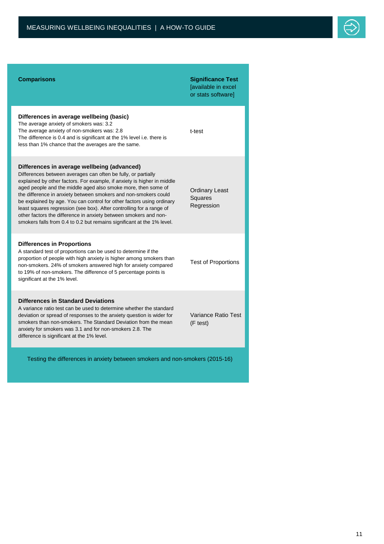

| <b>Comparisons</b>                                                                                                                                                                                                                                                                                                                                                                                                                                                                                                                                                                                                         | <b>Significance Test</b><br>[available in excel<br>or stats software] |  |  |  |
|----------------------------------------------------------------------------------------------------------------------------------------------------------------------------------------------------------------------------------------------------------------------------------------------------------------------------------------------------------------------------------------------------------------------------------------------------------------------------------------------------------------------------------------------------------------------------------------------------------------------------|-----------------------------------------------------------------------|--|--|--|
| Differences in average wellbeing (basic)<br>The average anxiety of smokers was: 3.2<br>The average anxiety of non-smokers was: 2.8<br>The difference is 0.4 and is significant at the 1% level i.e. there is<br>less than 1% chance that the averages are the same.                                                                                                                                                                                                                                                                                                                                                        | t-test                                                                |  |  |  |
| Differences in average wellbeing (advanced)<br>Differences between averages can often be fully, or partially<br>explained by other factors. For example, if anxiety is higher in middle<br>aged people and the middle aged also smoke more, then some of<br>the difference in anxiety between smokers and non-smokers could<br>be explained by age. You can control for other factors using ordinary<br>least squares regression (see box). After controlling for a range of<br>other factors the difference in anxiety between smokers and non-<br>smokers falls from 0.4 to 0.2 but remains significant at the 1% level. | <b>Ordinary Least</b><br>Squares<br>Regression                        |  |  |  |
| <b>Differences in Proportions</b><br>A standard test of proportions can be used to determine if the<br>proportion of people with high anxiety is higher among smokers than<br>non-smokers. 24% of smokers answered high for anxiety compared<br>to 19% of non-smokers. The difference of 5 percentage points is<br>significant at the 1% level.                                                                                                                                                                                                                                                                            | <b>Test of Proportions</b>                                            |  |  |  |
| <b>Differences in Standard Deviations</b><br>A variance ratio test can be used to determine whether the standard<br>deviation or spread of responses to the anxiety question is wider for<br>smokers than non-smokers. The Standard Deviation from the mean<br>anxiety for smokers was 3.1 and for non-smokers 2.8. The<br>difference is significant at the 1% level.                                                                                                                                                                                                                                                      | Variance Ratio Test<br>(F test)                                       |  |  |  |
| Testing the differences in anxiety between smokers and non-smokers (2015-16)                                                                                                                                                                                                                                                                                                                                                                                                                                                                                                                                               |                                                                       |  |  |  |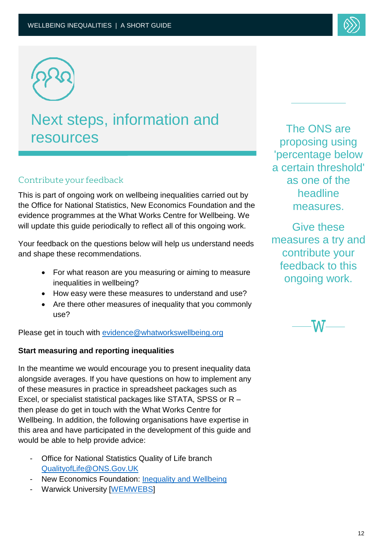

### Next steps, information and resources

## Contribute your feedback

This is part of ongoing work on wellbeing inequalities carried out by the Office for National Statistics, New Economics Foundation and the evidence programmes at the What Works Centre for Wellbeing. We will update this guide periodically to reflect all of this ongoing work.

Your feedback on the questions below will help us understand needs and shape these recommendations.

- For what reason are you measuring or aiming to measure For what reason are you<br>inequalities in wellbeing?
- How easy were these measures to understand and use?
- Are there other measures of inequality that you commonly use?

Please get in touch with <u>evidence@whatworkswellbeing.org</u> i<br>L

#### **Start measuring and reporting inequalities**

In the meantime we would encourage you to present inequality data alongside averages. If you have questions on how to implement any of these measures in practice in spreadsheet packages such as Excel, or specialist statistical packages like STATA, SPSS or R – then please do get in touch with the What Works Centre for Wellbeing. In addition, the following organisations have expertise in this area and have participated in the development of this guide and<br>would be able to help provide advice: would be able to help provide advice:

- Office for National Statistics Quality of Life branch QualityofLife@ONS.Gov.UK
- New Economics Foundation: [Inequality and Wellbeing](http://neweconomics.org/search/?_sft_people=annie-quick)
- Warwick University [\[WEMWEBS\]](http://www2.warwick.ac.uk/fac/med/research/platform/wemwbs/)

The ONS are proposing using 'percentage below a certain threshold' as one of the headline measures.

Give these measures a try and contribute your feedback to this ongoing work.

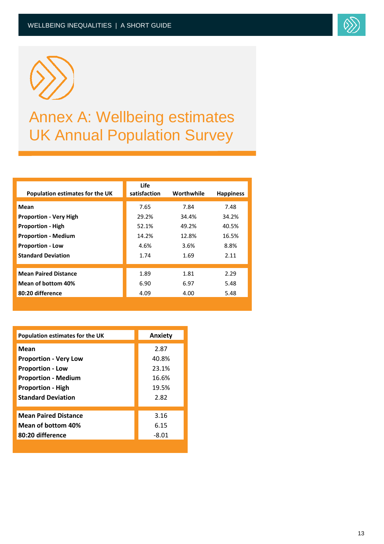



## Annex A: Wellbeing estimates UK Annual Population Survey

<span id="page-12-0"></span>

| Population estimates for the UK | <b>Life</b><br>satisfaction | Worthwhile | <b>Happiness</b> |
|---------------------------------|-----------------------------|------------|------------------|
| Mean                            | 7.65                        | 7.84       | 7.48             |
| <b>Proportion - Very High</b>   | 29.2%                       | 34.4%      | 34.2%            |
| <b>Proportion - High</b>        | 52.1%                       | 49.2%      | 40.5%            |
| <b>Proportion - Medium</b>      | 14.2%                       | 12.8%      | 16.5%            |
| <b>Proportion - Low</b>         | 4.6%                        | 3.6%       | 8.8%             |
| <b>Standard Deviation</b>       | 1.74                        | 1.69       | 2.11             |
|                                 |                             |            |                  |
| <b>Mean Paired Distance</b>     | 1.89                        | 1.81       | 2.29             |
| Mean of bottom 40%              | 6.90                        | 6.97       | 5.48             |
| 80:20 difference                | 4.09                        | 4.00       | 5.48             |
|                                 |                             |            |                  |

| Population estimates for the UK | Anxiety |
|---------------------------------|---------|
| Mean                            | 2.87    |
| <b>Proportion - Very Low</b>    | 40.8%   |
| <b>Proportion - Low</b>         | 23.1%   |
| <b>Proportion - Medium</b>      | 16.6%   |
| <b>Proportion - High</b>        | 19.5%   |
| <b>Standard Deviation</b>       | 2.82    |
| <b>Mean Paired Distance</b>     | 3.16    |
| Mean of bottom 40%              | 6.15    |
| 80:20 difference                | $-8.01$ |
|                                 |         |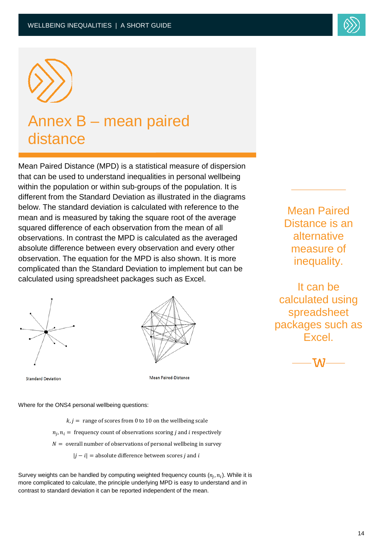

## Annex B – mean paired distance

Mean Paired Distance (MPD) is a statistical measure of dispersion that can be used to understand inequalities in personal wellbeing within the population or within sub-groups of the population. It is different from the Standard Deviation as illustrated in the diagrams below. The standard deviation is calculated with reference to the mean and is measured by taking the square root of the average squared difference of each observation from the mean of all observations. In contrast the MPD is calculated as the averaged absolute difference between every observation and every other observation. The equation for the MPD is also shown. It is more complicated than the Standard Deviation to implement but can be calculated using spreadsheet packages such as Excel.





**Standard Deviation** 

Mean Paired-Distance

Where for the ONS4 personal wellbeing questions:

 $k, j =$  range of scores from 0 to 10 on the wellbeing scale  $n_i$ ,  $n_i$  = frequency count of observations scoring *j* and *i* respectively  $N =$  overall number of observations of personal wellbeing in survey  $|j - i|$  = absolute difference between scores *j* and *i* 

Survey weights can be handled by computing weighted frequency counts  $(n_i, n_i)$ . While it is more complicated to calculate, the principle underlying MPD is easy to understand and in contrast to standard deviation it can be reported independent of the mean.

Mean Paired Distance is an alternative measure of inequality.

It can be calculated using spreadsheet packages such as **Excel**